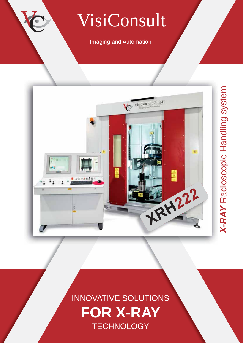# VisiConsult

### Imaging and Automation



# INNOVATIVE SOLUTIONS **FOR X-RAY TECHNOLOGY**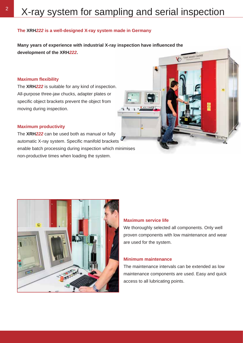#### **The XRH***222* **is a well-designed X-ray system made in Germany**

**Many years of experience with industrial X-ray inspection have infl uenced the development of the XRH***222***.** VisiConsult GmbH

#### **Maximum fl exibility**

The **XRH***222* is suitable for any kind of inspection. All-purpose three-jaw chucks, adapter plates or specific object brackets prevent the object from moving during inspection.

#### **Maximum productivity**

The **XRH***222* can be used both as manual or fully automatic X-ray system. Specific manifold brackets enable batch processing during inspection which minimises non-productive times when loading the system.



#### **Maximum service life**

We thoroughly selected all components. Only well proven components with low maintenance and wear are used for the system.

툲

#### **Minimum maintenance**

The maintenance intervals can be extended as low maintenance components are used. Easy and quick access to all lubricating points.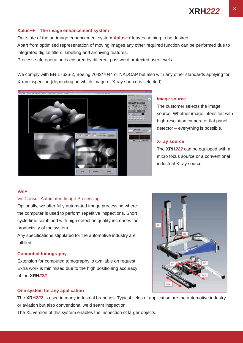#### **Xplus++ The image enhancement system**

Our state of the art image enhancement system **Xplus++** leaves nothing to be desired.

Apart from optimised representation of moving images any other required function can be performed due to integrated digital filters, labelling and archiving features.

Process-safe operation is ensured by different password protected user levels.

We comply with EN 17636-2, Boeing 7042/7044 or NADCAP but also with any other standards applying for X-ray inspection (depending on which image or X-ray source is selected).



#### **Image source**

The customer selects the image source. Whether image intensifier with high-resolution camera or flat panel detector – everything is possible.

#### **X-ray source**

The **XRH***222* can be equipped with a micro focus source or a conventional industrial X-ray source.

#### **VAIP**

#### VisiConsult Automated Image Processing

Optionally, we offer fully automated image processing where the computer is used to perform repetitive inspections. Short cycle time combined with high detection quality increases the productivity of the system.

Any specifications stipulated for the automotive industry are fulfilled.

#### **Computed tomography**

Extension for computed tomography is available on request. Extra work is minimised due to the high positioning accuracy of the **XRH***222*.



#### **One system for any application**

The XRH<sub>222</sub> is used in many industrial branches. Typical fields of application are the automotive industry or aviation but also conventional weld seam inspection.

The XL version of this system enables the inspection of larger objects.